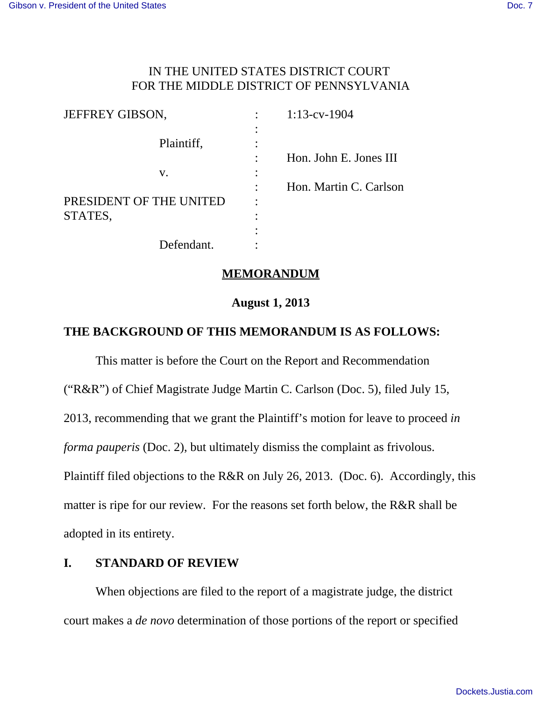# IN THE UNITED STATES DISTRICT COURT FOR THE MIDDLE DISTRICT OF PENNSYLVANIA

| JEFFREY GIBSON,         |                | $1:13$ -cv-1904        |
|-------------------------|----------------|------------------------|
| Plaintiff,              | $\bullet$<br>٠ |                        |
| V.                      | ٠              | Hon. John E. Jones III |
|                         |                | Hon. Martin C. Carlson |
| PRESIDENT OF THE UNITED | $\bullet$      |                        |
| STATES,                 | ٠              |                        |
|                         |                |                        |
| Defendant.              |                |                        |

#### **MEMORANDUM**

## **August 1, 2013**

## **THE BACKGROUND OF THIS MEMORANDUM IS AS FOLLOWS:**

This matter is before the Court on the Report and Recommendation ("R&R") of Chief Magistrate Judge Martin C. Carlson (Doc. 5), filed July 15, 2013, recommending that we grant the Plaintiff's motion for leave to proceed *in forma pauperis* (Doc. 2), but ultimately dismiss the complaint as frivolous. Plaintiff filed objections to the R&R on July 26, 2013. (Doc. 6). Accordingly, this matter is ripe for our review. For the reasons set forth below, the R&R shall be adopted in its entirety.

## **I. STANDARD OF REVIEW**

When objections are filed to the report of a magistrate judge, the district court makes a *de novo* determination of those portions of the report or specified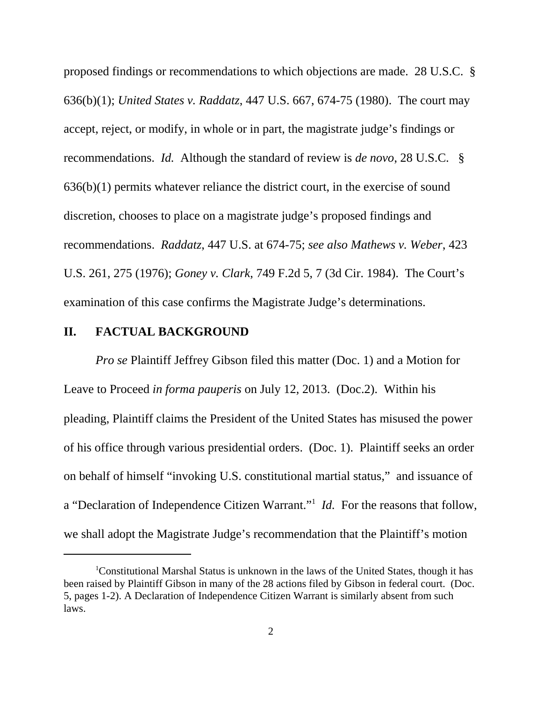proposed findings or recommendations to which objections are made. 28 U.S.C. § 636(b)(1); *United States v. Raddatz*, 447 U.S. 667, 674-75 (1980). The court may accept, reject, or modify, in whole or in part, the magistrate judge's findings or recommendations. *Id.* Although the standard of review is *de novo*, 28 U.S.C. § 636(b)(1) permits whatever reliance the district court, in the exercise of sound discretion, chooses to place on a magistrate judge's proposed findings and recommendations. *Raddatz*, 447 U.S. at 674-75; *see also Mathews v. Weber*, 423 U.S. 261, 275 (1976); *Goney v. Clark*, 749 F.2d 5, 7 (3d Cir. 1984). The Court's examination of this case confirms the Magistrate Judge's determinations.

#### **II. FACTUAL BACKGROUND**

*Pro se* Plaintiff Jeffrey Gibson filed this matter (Doc. 1) and a Motion for Leave to Proceed *in forma pauperis* on July 12, 2013. (Doc.2). Within his pleading, Plaintiff claims the President of the United States has misused the power of his office through various presidential orders. (Doc. 1). Plaintiff seeks an order on behalf of himself "invoking U.S. constitutional martial status," and issuance of a "Declaration of Independence Citizen Warrant."<sup>1</sup> *Id*. For the reasons that follow, we shall adopt the Magistrate Judge's recommendation that the Plaintiff's motion

<sup>1</sup>Constitutional Marshal Status is unknown in the laws of the United States, though it has been raised by Plaintiff Gibson in many of the 28 actions filed by Gibson in federal court. (Doc. 5, pages 1-2). A Declaration of Independence Citizen Warrant is similarly absent from such laws.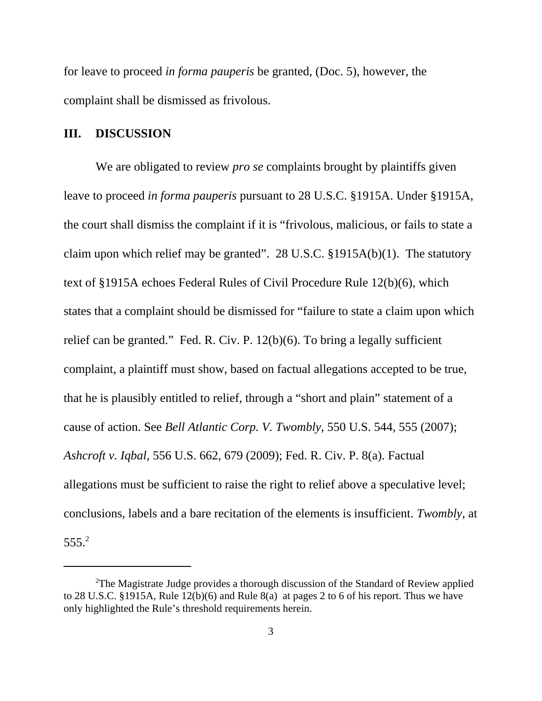for leave to proceed *in forma pauperis* be granted, (Doc. 5), however, the complaint shall be dismissed as frivolous.

#### **III. DISCUSSION**

We are obligated to review *pro se* complaints brought by plaintiffs given leave to proceed *in forma pauperis* pursuant to 28 U.S.C. §1915A. Under §1915A, the court shall dismiss the complaint if it is "frivolous, malicious, or fails to state a claim upon which relief may be granted". 28 U.S.C. §1915A(b)(1). The statutory text of §1915A echoes Federal Rules of Civil Procedure Rule 12(b)(6), which states that a complaint should be dismissed for "failure to state a claim upon which relief can be granted." Fed. R. Civ. P. 12(b)(6). To bring a legally sufficient complaint, a plaintiff must show, based on factual allegations accepted to be true, that he is plausibly entitled to relief, through a "short and plain" statement of a cause of action. See *Bell Atlantic Corp. V. Twombly*, 550 U.S. 544, 555 (2007); *Ashcroft v. Iqbal*, 556 U.S. 662, 679 (2009); Fed. R. Civ. P. 8(a). Factual allegations must be sufficient to raise the right to relief above a speculative level; conclusions, labels and a bare recitation of the elements is insufficient. *Twombly*, at 555.<sup>2</sup>

<sup>&</sup>lt;sup>2</sup>The Magistrate Judge provides a thorough discussion of the Standard of Review applied to 28 U.S.C. §1915A, Rule 12(b)(6) and Rule 8(a) at pages 2 to 6 of his report. Thus we have only highlighted the Rule's threshold requirements herein.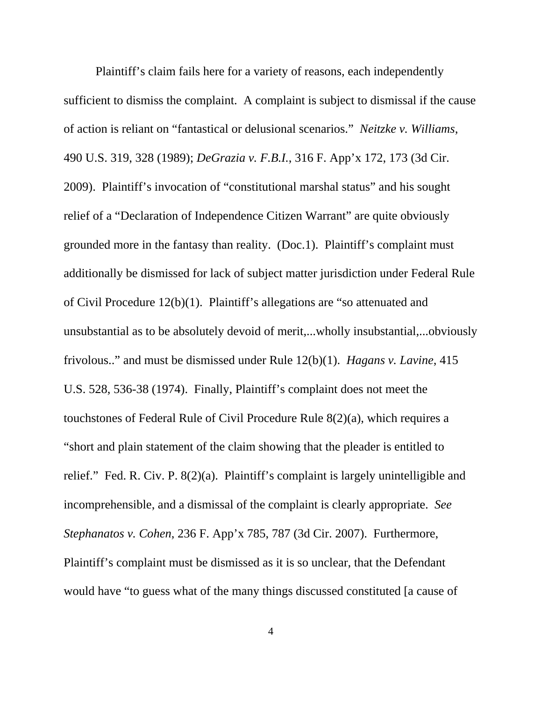Plaintiff's claim fails here for a variety of reasons, each independently sufficient to dismiss the complaint. A complaint is subject to dismissal if the cause of action is reliant on "fantastical or delusional scenarios." *Neitzke v. Williams*, 490 U.S. 319, 328 (1989); *DeGrazia v. F.B.I.*, 316 F. App'x 172, 173 (3d Cir. 2009). Plaintiff's invocation of "constitutional marshal status" and his sought relief of a "Declaration of Independence Citizen Warrant" are quite obviously grounded more in the fantasy than reality. (Doc.1). Plaintiff's complaint must additionally be dismissed for lack of subject matter jurisdiction under Federal Rule of Civil Procedure 12(b)(1). Plaintiff's allegations are "so attenuated and unsubstantial as to be absolutely devoid of merit,...wholly insubstantial,...obviously frivolous.." and must be dismissed under Rule 12(b)(1). *Hagans v. Lavine*, 415 U.S. 528, 536-38 (1974). Finally, Plaintiff's complaint does not meet the touchstones of Federal Rule of Civil Procedure Rule 8(2)(a), which requires a "short and plain statement of the claim showing that the pleader is entitled to relief." Fed. R. Civ. P. 8(2)(a). Plaintiff's complaint is largely unintelligible and incomprehensible, and a dismissal of the complaint is clearly appropriate. *See Stephanatos v. Cohen*, 236 F. App'x 785, 787 (3d Cir. 2007). Furthermore, Plaintiff's complaint must be dismissed as it is so unclear, that the Defendant would have "to guess what of the many things discussed constituted [a cause of